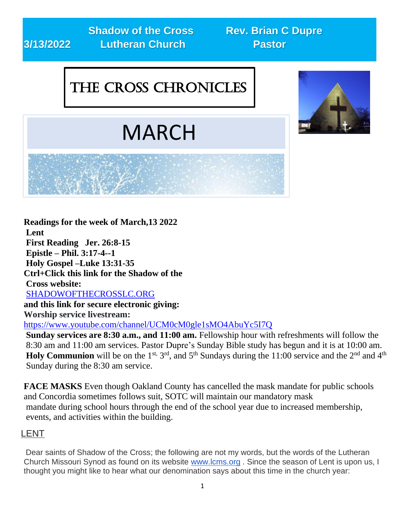**3/13/2022 Lutheran Church Pastor**

**Shadow of the Cross Rev. Brian C Dupre** 

# The Cross Chronicles



# MARCH

**Readings for the week of March,13 2022 Lent First Reading Jer. 26:8-15 Epistle – Phil. 3:17-4--1 Holy Gospel –Luke 13:31-35 Ctrl+Click this link for the Shadow of the Cross website:**  SHADOWOFTHECROSSLC.ORG

**and this link for secure electronic giving: Worship service livestream:** 

<https://www.youtube.com/channel/UCM0cM0gle1sMO4AbuYc5I7Q>

**Sunday services are 8:30 a.m., and 11:00 am.** Fellowship hour with refreshments will follow the 8:30 am and 11:00 am services. Pastor Dupre's Sunday Bible study has begun and it is at 10:00 am. **Holy Communion** will be on the 1<sup>st, 3rd</sup>, and 5<sup>th</sup> Sundays during the 11:00 service and the 2<sup>nd</sup> and 4<sup>th</sup> Sunday during the 8:30 am service.

**FACE MASKS** Even though Oakland County has cancelled the mask mandate for public schools and Concordia sometimes follows suit, SOTC will maintain our mandatory mask mandate during school hours through the end of the school year due to increased membership, events, and activities within the building.

#### LENT

Dear saints of Shadow of the Cross; the following are not my words, but the words of the Lutheran Church Missouri Synod as found on its website [www.lcms.org](http://www.lcms.org/) . Since the season of Lent is upon us, I thought you might like to hear what our denomination says about this time in the church year: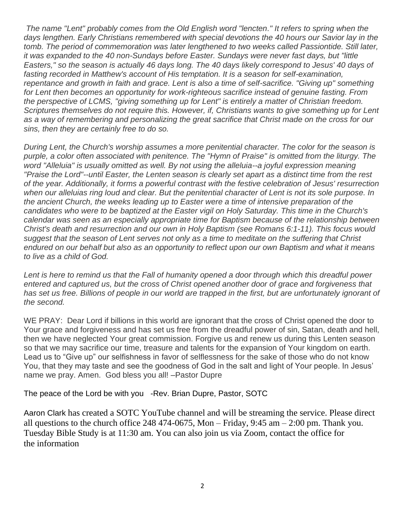*The name "Lent" probably comes from the Old English word "lencten." It refers to spring when the days lengthen. Early Christians remembered with special devotions the 40 hours our Savior lay in the tomb. The period of commemoration was later lengthened to two weeks called Passiontide. Still later, it was expanded to the 40 non-Sundays before Easter. Sundays were never fast days, but "little Easters," so the season is actually 46 days long. The 40 days likely correspond to Jesus' 40 days of fasting recorded in Matthew's account of His temptation. It is a season for self-examination,*  repentance and growth in faith and grace. Lent is also a time of self-sacrifice. "Giving up" something *for Lent then becomes an opportunity for work-righteous sacrifice instead of genuine fasting. From the perspective of LCMS, "giving something up for Lent" is entirely a matter of Christian freedom. Scriptures themselves do not require this. However, if, Christians wants to give something up for Lent as a way of remembering and personalizing the great sacrifice that Christ made on the cross for our sins, then they are certainly free to do so.*

*During Lent, the Church's worship assumes a more penitential character. The color for the season is purple, a color often associated with penitence. The "Hymn of Praise" is omitted from the liturgy. The word "Alleluia" is usually omitted as well. By not using the alleluia--a joyful expression meaning "Praise the Lord"--until Easter, the Lenten season is clearly set apart as a distinct time from the rest of the year. Additionally, it forms a powerful contrast with the festive celebration of Jesus' resurrection when our alleluias ring loud and clear. But the penitential character of Lent is not its sole purpose. In the ancient Church, the weeks leading up to Easter were a time of intensive preparation of the candidates who were to be baptized at the Easter vigil on Holy Saturday. This time in the Church's calendar was seen as an especially appropriate time for Baptism because of the relationship between Christ's death and resurrection and our own in Holy Baptism (see Romans 6:1-11). This focus would suggest that the season of Lent serves not only as a time to meditate on the suffering that Christ endured on our behalf but also as an opportunity to reflect upon our own Baptism and what it means to live as a child of God.*

*Lent is here to remind us that the Fall of humanity opened a door through which this dreadful power entered and captured us, but the cross of Christ opened another door of grace and forgiveness that*  has set us free. Billions of people in our world are trapped in the first, but are unfortunately ignorant of *the second.*

WE PRAY: Dear Lord if billions in this world are ignorant that the cross of Christ opened the door to Your grace and forgiveness and has set us free from the dreadful power of sin, Satan, death and hell, then we have neglected Your great commission. Forgive us and renew us during this Lenten season so that we may sacrifice our time, treasure and talents for the expansion of Your kingdom on earth. Lead us to "Give up" our selfishness in favor of selflessness for the sake of those who do not know You, that they may taste and see the goodness of God in the salt and light of Your people. In Jesus' name we pray. Amen. God bless you all! –Pastor Dupre

The peace of the Lord be with you -Rev. Brian Dupre, Pastor, SOTC

Aaron Clark has created a SOTC YouTube channel and will be streaming the service. Please direct all questions to the church office 248 474-0675, Mon – Friday, 9:45 am – 2:00 pm. Thank you. Tuesday Bible Study is at 11:30 am. You can also join us via Zoom, contact the office for the information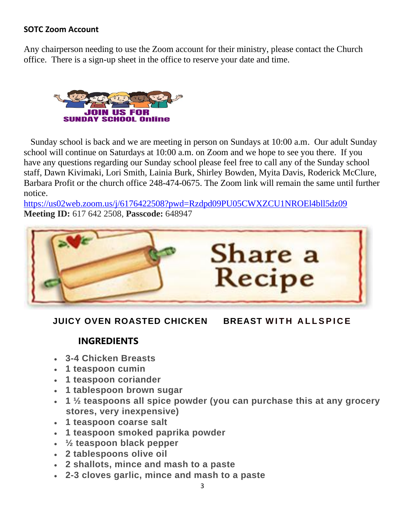#### **SOTC Zoom Account**

Any chairperson needing to use the Zoom account for their ministry, please contact the Church office. There is a sign-up sheet in the office to reserve your date and time.



 Sunday school is back and we are meeting in person on Sundays at 10:00 a.m. Our adult Sunday school will continue on Saturdays at 10:00 a.m. on Zoom and we hope to see you there. If you have any questions regarding our Sunday school please feel free to call any of the Sunday school staff, Dawn Kivimaki, Lori Smith, Lainia Burk, Shirley Bowden, Myita Davis, Roderick McClure, Barbara Profit or the church office 248-474-0675. The Zoom link will remain the same until further notice.

<https://us02web.zoom.us/j/6176422508?pwd=Rzdpd09PU05CWXZCU1NROEl4bll5dz09> **Meeting ID:** 617 642 2508, **Passcode:** 648947



**JUICY OVEN ROASTED CHICKEN BREAST WITH ALLSPICE** 

#### **INGREDIENTS**

- **3-4 Chicken Breasts**
- **1 teaspoon cumin**
- **1 teaspoon coriander**
- **1 tablespoon brown sugar**
- **1 ½ teaspoons all spice powder (you can purchase this at any grocery stores, very inexpensive)**
- **1 teaspoon coarse salt**
- **1 teaspoon smoked paprika powder**
- **½ teaspoon black pepper**
- **2 tablespoons olive oil**
- **2 shallots, mince and mash to a paste**
- **2-3 cloves garlic, mince and mash to a paste**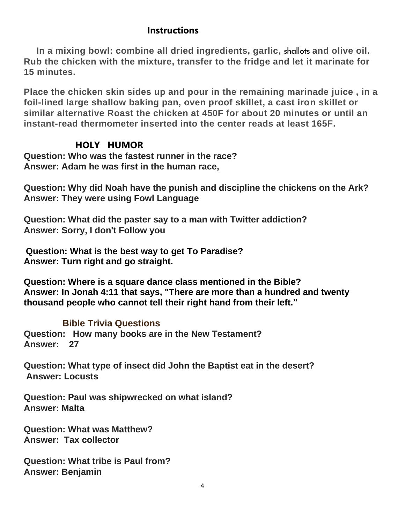#### **Instructions**

 **In a mixing bowl: combine all dried ingredients, garlic,** shallots **and olive oil. Rub the chicken with the mixture, transfer to the fridge and let it marinate for 15 minutes.**

**Place the chicken skin sides up and pour in the remaining marinade juice , in a foil-lined large shallow baking pan, oven proof skillet, a cast iron skillet or similar alternative Roast the chicken at 450F for about 20 minutes or until an instant-read thermometer inserted into the center reads at least 165F.**

#### **HOLY HUMOR**

**Question: Who was the fastest runner in the race? Answer: Adam he was first in the human race,**

**Question: Why did Noah have the punish and discipline the chickens on the Ark? Answer: They were using Fowl Language**

**Question: What did the paster say to a man with Twitter addiction? Answer: Sorry, I don't Follow you**

**Question: What is the best way to get To Paradise? Answer: Turn right and go straight.**

**Question: Where is a square dance class mentioned in the Bible? Answer: In Jonah 4:11 that says, "There are more than a hundred and twenty thousand people who cannot tell their right hand from their left."**

#### **Bible Trivia Questions**

**Question: How many books are in the New Testament? Answer: 27**

**Question: What type of insect did John the Baptist eat in the desert? Answer: Locusts**

**Question: Paul was shipwrecked on what island? Answer: Malta**

**Question: What was Matthew? Answer: Tax collector**

**Question: What tribe is Paul from? Answer: Benjamin**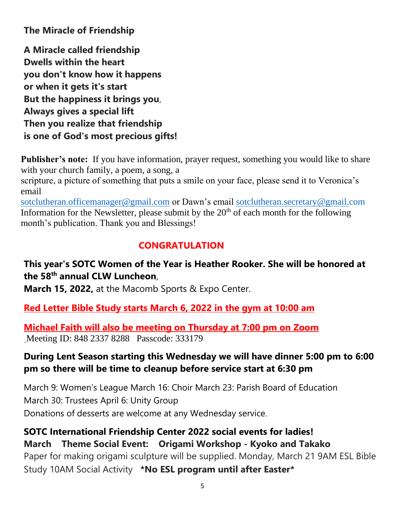**The Miracle of Friendship**

**A Miracle called friendship Dwells within the heart you don't know how it happens or when it gets it's start But the happiness it brings you**, **Always gives a special lift Then you realize that friendship is one of God's most precious gifts!**

**Publisher's note:** If you have information, prayer request, something you would like to share with your church family, a poem, a song, a

scripture, a picture of something that puts a smile on your face, please send it to Veronica's email

[sotclutheran.officemanager@gmail.com](mailto:sotclutheran.officemanager@gmail.com) or Dawn's email [sotclutheran.secretary@gmail.com](mailto:sotclutheran.secretary@gmail.com) Information for the Newsletter, please submit by the  $20<sup>th</sup>$  of each month for the following month's publication. Thank you and Blessings!

#### **CONGRATULATION**

#### **This year's SOTC Women of the Year is Heather Rooker. She will be honored at the 58th annual CLW Luncheon**,

**March 15, 2022,** at the Macomb Sports & Expo Center.

**Red Letter Bible Study starts March 6, 2022 in the gym at 10:00 am**

**Michael Faith will also be meeting on Thursday at 7:00 pm on Zoom** Meeting ID: 848 2337 8288 Passcode: 333179

#### **During Lent Season starting this Wednesday we will have dinner 5:00 pm to 6:00 pm so there will be time to cleanup before service start at 6:30 pm**

March 9: Women's League March 16: Choir March 23: Parish Board of Education March 30: Trustees April 6: Unity Group Donations of desserts are welcome at any Wednesday service.

#### **SOTC International Friendship Center 2022 social events for ladies!**

### **March Theme Social Event: Origami Workshop - Kyoko and Takako**

Paper for making origami sculpture will be supplied. Monday, March 21 9AM ESL Bible Study 10AM Social Activity **\*No ESL program until after Easter\***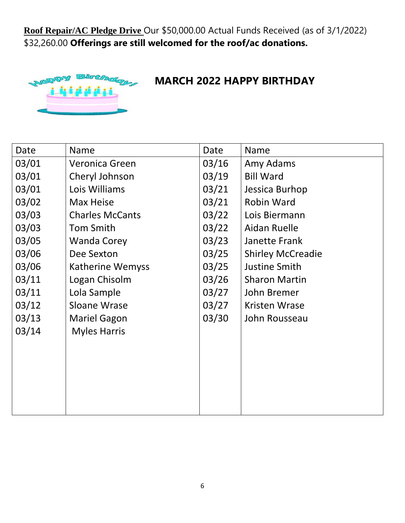**Roof Repair/AC Pledge Drive** Our \$50,000.00 Actual Funds Received (as of 3/1/2022) \$32,260.00 **Offerings are still welcomed for the roof/ac donations.**



#### **MARCH 2022 HAPPY BIRTHDAY**

| Date  | <b>Name</b>            | Date  | Name                     |
|-------|------------------------|-------|--------------------------|
| 03/01 | <b>Veronica Green</b>  | 03/16 | Amy Adams                |
| 03/01 | Cheryl Johnson         | 03/19 | <b>Bill Ward</b>         |
| 03/01 | Lois Williams          | 03/21 | Jessica Burhop           |
| 03/02 | Max Heise              | 03/21 | <b>Robin Ward</b>        |
| 03/03 | <b>Charles McCants</b> | 03/22 | Lois Biermann            |
| 03/03 | <b>Tom Smith</b>       | 03/22 | Aidan Ruelle             |
| 03/05 | Wanda Corey            | 03/23 | Janette Frank            |
| 03/06 | Dee Sexton             | 03/25 | <b>Shirley McCreadie</b> |
| 03/06 | Katherine Wemyss       | 03/25 | <b>Justine Smith</b>     |
| 03/11 | Logan Chisolm          | 03/26 | <b>Sharon Martin</b>     |
| 03/11 | Lola Sample            | 03/27 | John Bremer              |
| 03/12 | Sloane Wrase           | 03/27 | <b>Kristen Wrase</b>     |
| 03/13 | <b>Mariel Gagon</b>    | 03/30 | John Rousseau            |
| 03/14 | <b>Myles Harris</b>    |       |                          |
|       |                        |       |                          |
|       |                        |       |                          |
|       |                        |       |                          |
|       |                        |       |                          |
|       |                        |       |                          |
|       |                        |       |                          |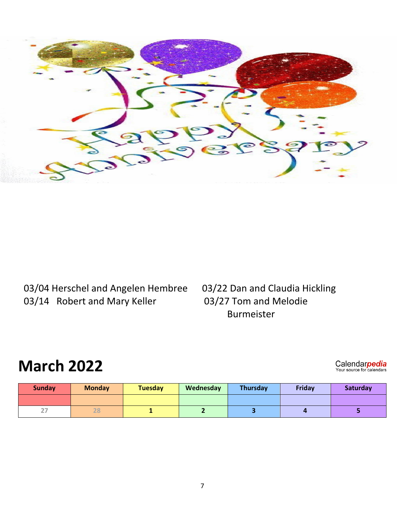

03/04 Herschel and Angelen Hembree 03/22 Dan and Claudia Hickling<br>03/14 Robert and Mary Keller 03/27 Tom and Melodie 03/14 Robert and Mary Keller

Burmeister

## **March 2022**

Calendar**pedia**<br>Your source for calendars

| <b>Sunday</b> | <b>Monday</b> | Tuesday | Wednesday | <b>Thursday</b> | <b>Friday</b> | Saturday |
|---------------|---------------|---------|-----------|-----------------|---------------|----------|
|               |               |         |           |                 |               |          |
| $\leftarrow$  | 28            |         |           |                 |               |          |